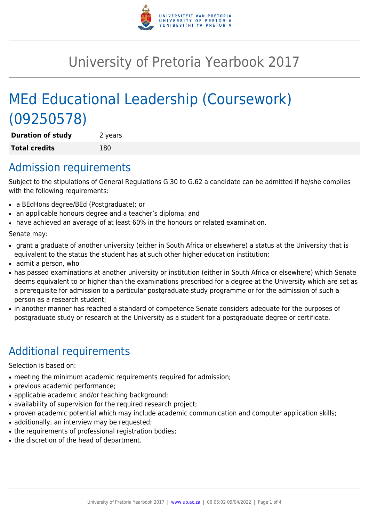

## University of Pretoria Yearbook 2017

# MEd Educational Leadership (Coursework) (09250578)

**Duration of study** 2 years **Total credits** 180

#### Admission requirements

Subject to the stipulations of General Regulations G.30 to G.62 a candidate can be admitted if he/she complies with the following requirements:

- a BEdHons degree/BEd (Postgraduate); or
- an applicable honours degree and a teacher's diploma; and
- have achieved an average of at least 60% in the honours or related examination.

Senate may:

- grant a graduate of another university (either in South Africa or elsewhere) a status at the University that is equivalent to the status the student has at such other higher education institution;
- admit a person, who
- has passed examinations at another university or institution (either in South Africa or elsewhere) which Senate deems equivalent to or higher than the examinations prescribed for a degree at the University which are set as a prerequisite for admission to a particular postgraduate study programme or for the admission of such a person as a research student;
- in another manner has reached a standard of competence Senate considers adequate for the purposes of postgraduate study or research at the University as a student for a postgraduate degree or certificate.

## Additional requirements

Selection is based on:

- meeting the minimum academic requirements required for admission;
- previous academic performance;
- applicable academic and/or teaching background;
- availability of supervision for the required research project;
- proven academic potential which may include academic communication and computer application skills;
- additionally, an interview may be requested;
- the requirements of professional registration bodies;
- the discretion of the head of department.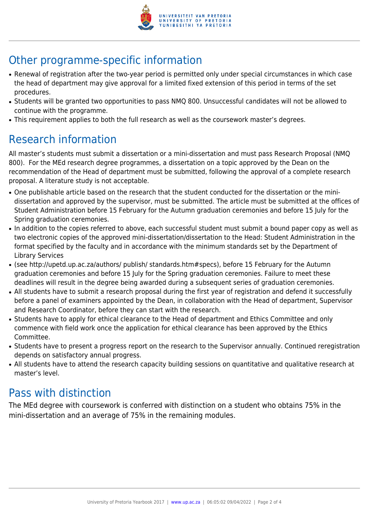

## Other programme-specific information

- Renewal of registration after the two-year period is permitted only under special circumstances in which case the head of department may give approval for a limited fixed extension of this period in terms of the set procedures.
- Students will be granted two opportunities to pass NMQ 800. Unsuccessful candidates will not be allowed to continue with the programme.
- This requirement applies to both the full research as well as the coursework master's degrees.

## Research information

All master's students must submit a dissertation or a mini-dissertation and must pass Research Proposal (NMQ 800). For the MEd research degree programmes, a dissertation on a topic approved by the Dean on the recommendation of the Head of department must be submitted, following the approval of a complete research proposal. A literature study is not acceptable.

- One publishable article based on the research that the student conducted for the dissertation or the minidissertation and approved by the supervisor, must be submitted. The article must be submitted at the offices of Student Administration before 15 February for the Autumn graduation ceremonies and before 15 July for the Spring graduation ceremonies.
- In addition to the copies referred to above, each successful student must submit a bound paper copy as well as two electronic copies of the approved mini-dissertation/dissertation to the Head: Student Administration in the format specified by the faculty and in accordance with the minimum standards set by the Department of Library Services
- (see http://upetd.up.ac.za/authors/ publish/ standards.htm#specs), before 15 February for the Autumn graduation ceremonies and before 15 July for the Spring graduation ceremonies. Failure to meet these deadlines will result in the degree being awarded during a subsequent series of graduation ceremonies.
- All students have to submit a research proposal during the first year of registration and defend it successfully before a panel of examiners appointed by the Dean, in collaboration with the Head of department, Supervisor and Research Coordinator, before they can start with the research.
- Students have to apply for ethical clearance to the Head of department and Ethics Committee and only commence with field work once the application for ethical clearance has been approved by the Ethics Committee.
- Students have to present a progress report on the research to the Supervisor annually. Continued reregistration depends on satisfactory annual progress.
- All students have to attend the research capacity building sessions on quantitative and qualitative research at master's level.

### Pass with distinction

The MEd degree with coursework is conferred with distinction on a student who obtains 75% in the mini-dissertation and an average of 75% in the remaining modules.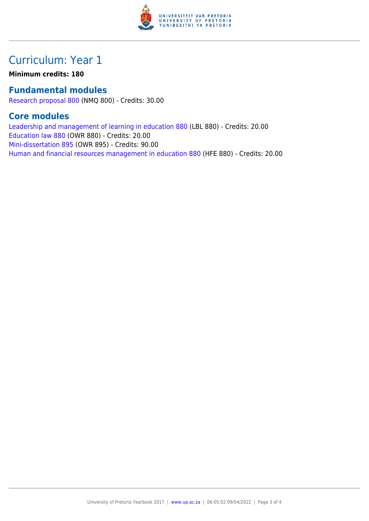

### Curriculum: Year 1

**Minimum credits: 180**

#### **Fundamental modules**

[Research proposal 800](https://www.up.ac.za/mechanical-and-aeronautical-engineering/yearbooks/2017/modules/view/NMQ 800) (NMQ 800) - Credits: 30.00

#### **Core modules**

[Leadership and management of learning in education 880](https://www.up.ac.za/mechanical-and-aeronautical-engineering/yearbooks/2017/modules/view/LBL 880) (LBL 880) - Credits: 20.00 [Education law 880](https://www.up.ac.za/mechanical-and-aeronautical-engineering/yearbooks/2017/modules/view/OWR 880) (OWR 880) - Credits: 20.00 [Mini-dissertation 895](https://www.up.ac.za/mechanical-and-aeronautical-engineering/yearbooks/2017/modules/view/OWR 895) (OWR 895) - Credits: 90.00 [Human and financial resources management in education 880](https://www.up.ac.za/mechanical-and-aeronautical-engineering/yearbooks/2017/modules/view/HFE 880) (HFE 880) - Credits: 20.00